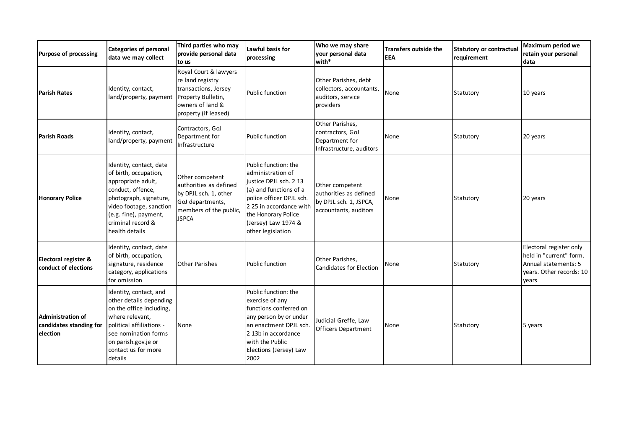| Purpose of processing                                           | <b>Categories of personal</b><br>data we may collect                                                                                                                                                             | Third parties who may<br>provide personal data<br>to us                                                                             | Lawful basis for<br>processing                                                                                                                                                                                          | Who we may share<br>vour personal data<br>with*                                              | <b>Transfers outside the</b><br><b>EEA</b> | <b>Statutory or contractual</b><br>requirement | Maximum period we<br>retain your personal<br>ldata                                                              |
|-----------------------------------------------------------------|------------------------------------------------------------------------------------------------------------------------------------------------------------------------------------------------------------------|-------------------------------------------------------------------------------------------------------------------------------------|-------------------------------------------------------------------------------------------------------------------------------------------------------------------------------------------------------------------------|----------------------------------------------------------------------------------------------|--------------------------------------------|------------------------------------------------|-----------------------------------------------------------------------------------------------------------------|
| <b>Parish Rates</b>                                             | Identity, contact,<br>land/property, payment                                                                                                                                                                     | Royal Court & lawyers<br>re land registry<br>transactions, Jersey<br>Property Bulletin,<br>owners of land &<br>property (if leased) | Public function                                                                                                                                                                                                         | Other Parishes, debt<br>collectors, accountants,<br>auditors, service<br>providers           | None                                       | Statutory                                      | 10 years                                                                                                        |
| <b>Parish Roads</b>                                             | Identity, contact,<br>land/property, payment                                                                                                                                                                     | Contractors, GoJ<br>Department for<br>Infrastructure                                                                                | Public function                                                                                                                                                                                                         | Other Parishes,<br>contractors, GoJ<br>Department for<br>Infrastructure, auditors            | None                                       | Statutory                                      | 20 years                                                                                                        |
| <b>Honorary Police</b>                                          | Identity, contact, date<br>of birth, occupation,<br>appropriate adult,<br>conduct, offence,<br>photograph, signature,<br>video footage, sanction<br>(e.g. fine), payment,<br>criminal record &<br>health details | Other competent<br>authorities as defined<br>by DPJL sch. 1, other<br>GoJ departments,<br>members of the public,<br><b>JSPCA</b>    | Public function: the<br>administration of<br>justice DPJL sch. 2 13<br>(a) and functions of a<br>police officer DPJL sch.<br>2 25 in accordance with<br>the Honorary Police<br>(Jersey) Law 1974 &<br>other legislation | Other competent<br>authorities as defined<br>by DPJL sch. 1, JSPCA,<br>accountants, auditors | None                                       | Statutory                                      | 20 years                                                                                                        |
| Electoral register &<br>conduct of elections                    | Identity, contact, date<br>of birth, occupation,<br>signature, residence<br>category, applications<br>for omission                                                                                               | <b>Other Parishes</b>                                                                                                               | <b>Public function</b>                                                                                                                                                                                                  | Other Parishes,<br><b>Candidates for Election</b>                                            | None                                       | Statutory                                      | Electoral register only<br>held in "current" form.<br>Annual statements: 5<br>years. Other records: 10<br>years |
| <b>Administration of</b><br>candidates standing for<br>election | Identity, contact, and<br>other details depending<br>on the office including,<br>where relevant,<br>political affiliations -<br>see nomination forms<br>on parish.gov.je or<br>contact us for more<br>details    | None                                                                                                                                | Public function: the<br>exercise of any<br>functions conferred on<br>any person by or under<br>an enactment DPJL sch.<br>2 13b in accordance<br>with the Public<br>Elections (Jersey) Law<br>2002                       | Judicial Greffe, Law<br><b>Officers Department</b>                                           | None                                       | Statutory                                      | 5 years                                                                                                         |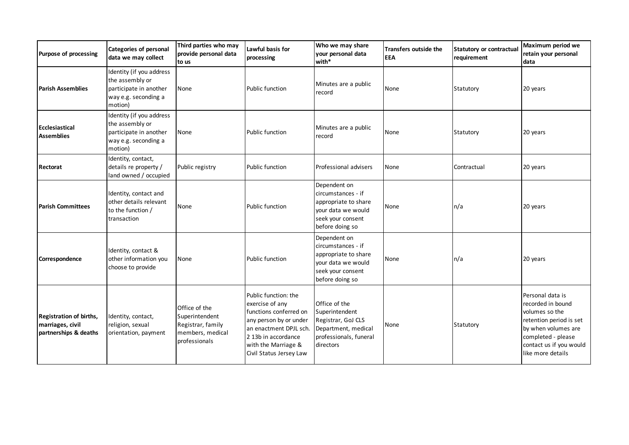| Purpose of processing                                                       | <b>Categories of personal</b><br>data we may collect                                                     | Third parties who may<br>provide personal data<br>to us                                   | Lawful basis for<br>processing                                                                                                                                                                 | Who we may share<br>your personal data<br>with*                                                                          | <b>Transfers outside the</b><br><b>EEA</b> | Statutory or contractual<br>requirement | Maximum period we<br>retain your personal<br>data                                                                                                                               |
|-----------------------------------------------------------------------------|----------------------------------------------------------------------------------------------------------|-------------------------------------------------------------------------------------------|------------------------------------------------------------------------------------------------------------------------------------------------------------------------------------------------|--------------------------------------------------------------------------------------------------------------------------|--------------------------------------------|-----------------------------------------|---------------------------------------------------------------------------------------------------------------------------------------------------------------------------------|
| <b>Parish Assemblies</b>                                                    | Identity (if you address<br>the assembly or<br>participate in another<br>way e.g. seconding a<br>motion) | None                                                                                      | Public function                                                                                                                                                                                | Minutes are a public<br>record                                                                                           | None                                       | Statutory                               | 20 years                                                                                                                                                                        |
| Ecclesiastical<br><b>Assemblies</b>                                         | Identity (if you address<br>the assembly or<br>participate in another<br>way e.g. seconding a<br>motion) | None                                                                                      | Public function                                                                                                                                                                                | Minutes are a public<br>record                                                                                           | None                                       | Statutory                               | 20 years                                                                                                                                                                        |
| Rectorat                                                                    | Identity, contact,<br>details re property /<br>land owned / occupied                                     | Public registry                                                                           | Public function                                                                                                                                                                                | Professional advisers                                                                                                    | None                                       | Contractual                             | 20 years                                                                                                                                                                        |
| <b>Parish Committees</b>                                                    | Identity, contact and<br>other details relevant<br>to the function /<br>transaction                      | None                                                                                      | <b>Public function</b>                                                                                                                                                                         | Dependent on<br>circumstances - if<br>appropriate to share<br>vour data we would<br>seek your consent<br>before doing so | None                                       | n/a                                     | 20 years                                                                                                                                                                        |
| Correspondence                                                              | Identity, contact &<br>other information you<br>choose to provide                                        | None                                                                                      | <b>Public function</b>                                                                                                                                                                         | Dependent on<br>circumstances - if<br>appropriate to share<br>vour data we would<br>seek your consent<br>before doing so | None                                       | n/a                                     | 20 years                                                                                                                                                                        |
| <b>Registration of births,</b><br>marriages, civil<br>partnerships & deaths | Identity, contact,<br>religion, sexual<br>orientation, payment                                           | Office of the<br>Superintendent<br>Registrar, family<br>members, medical<br>professionals | Public function: the<br>exercise of any<br>functions conferred on<br>any person by or under<br>an enactment DPJL sch.<br>2 13b in accordance<br>with the Marriage &<br>Civil Status Jersey Law | Office of the<br>Superintendent<br>Registrar, GoJ CLS<br>Department, medical<br>professionals, funeral<br>directors      | None                                       | Statutory                               | Personal data is<br>recorded in bound<br>volumes so the<br>retention period is set<br>by when volumes are<br>completed - please<br>contact us if you would<br>like more details |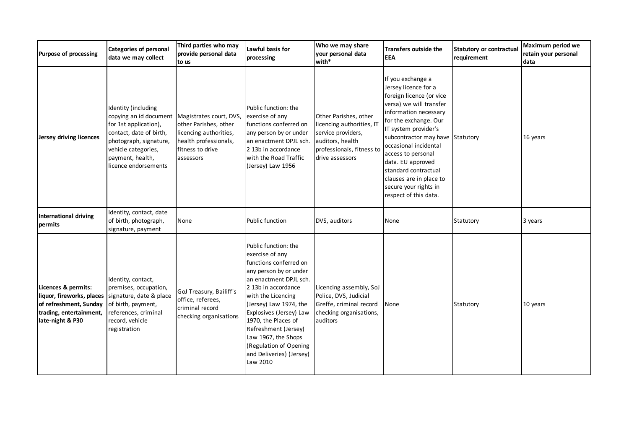| Purpose of processing                                                                                                     | <b>Categories of personal</b><br>data we may collect                                                                                                                                                                     | Third parties who may<br>provide personal data<br>to us                                                   | Lawful basis for<br>processing                                                                                                                                                                                                                                                                                                                                  | Who we may share<br>your personal data<br>with*                                                                                              | Transfers outside the<br><b>EEA</b>                                                                                                                                                                                                                                                                                                                                                     | Statutory or contractual<br>requirement | Maximum period we<br>retain your personal<br>data |
|---------------------------------------------------------------------------------------------------------------------------|--------------------------------------------------------------------------------------------------------------------------------------------------------------------------------------------------------------------------|-----------------------------------------------------------------------------------------------------------|-----------------------------------------------------------------------------------------------------------------------------------------------------------------------------------------------------------------------------------------------------------------------------------------------------------------------------------------------------------------|----------------------------------------------------------------------------------------------------------------------------------------------|-----------------------------------------------------------------------------------------------------------------------------------------------------------------------------------------------------------------------------------------------------------------------------------------------------------------------------------------------------------------------------------------|-----------------------------------------|---------------------------------------------------|
| Jersey driving licences                                                                                                   | Identity (including<br>copying an id document   Magistrates court, DVS,<br>for 1st application),<br>contact, date of birth,<br>photograph, signature,<br>vehicle categories,<br>payment, health,<br>licence endorsements | other Parishes, other<br>licencing authorities,<br>health professionals,<br>fitness to drive<br>assessors | Public function: the<br>exercise of any<br>functions conferred on<br>any person by or under<br>an enactment DPJL sch.<br>2 13b in accordance<br>with the Road Traffic<br>(Jersey) Law 1956                                                                                                                                                                      | Other Parishes, other<br>licencing authorities, IT<br>service providers,<br>auditors, health<br>professionals, fitness to<br>drive assessors | If you exchange a<br>Jersey licence for a<br>foreign licence (or vice<br>versa) we will transfer<br>information necessary<br>for the exchange. Our<br>IT system provider's<br>subcontractor may have Statutory<br>occasional incidental<br>access to personal<br>data. EU approved<br>standard contractual<br>clauses are in place to<br>secure your rights in<br>respect of this data. |                                         | 16 years                                          |
| <b>International driving</b><br>permits                                                                                   | Identity, contact, date<br>of birth, photograph,<br>signature, payment                                                                                                                                                   | None                                                                                                      | Public function                                                                                                                                                                                                                                                                                                                                                 | DVS, auditors                                                                                                                                | None                                                                                                                                                                                                                                                                                                                                                                                    | Statutory                               | 3 years                                           |
| Licences & permits:<br>liquor, fireworks, places<br>of refreshment, Sunday<br>trading, entertainment,<br>late-night & P30 | Identity, contact,<br>premises, occupation,<br>signature, date & place<br>of birth, payment,<br>references, criminal<br>record, vehicle<br>registration                                                                  | GoJ Treasury, Bailiff's<br>office, referees,<br>criminal record<br>checking organisations                 | Public function: the<br>exercise of any<br>functions conferred on<br>any person by or under<br>an enactment DPJL sch.<br>2 13b in accordance<br>with the Licencing<br>(Jersey) Law 1974, the<br>Explosives (Jersey) Law<br>1970, the Places of<br>Refreshment (Jersey)<br>Law 1967, the Shops<br>(Regulation of Opening<br>and Deliveries) (Jersey)<br>Law 2010 | Licencing assembly, SoJ<br>Police, DVS, Judicial<br>Greffe, criminal record<br>checking organisations,<br>auditors                           | None                                                                                                                                                                                                                                                                                                                                                                                    | Statutory                               | 10 years                                          |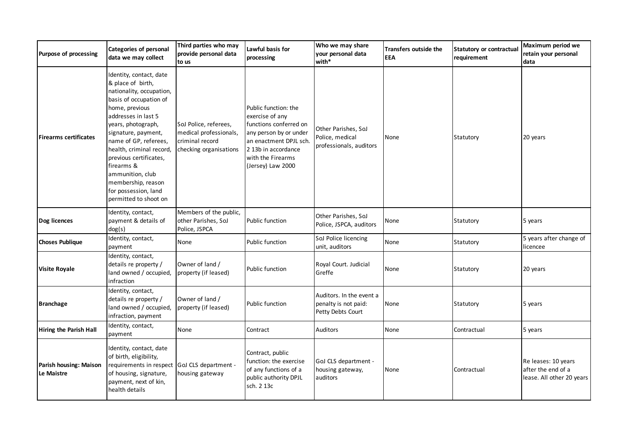| Purpose of processing                | <b>Categories of personal</b><br>data we may collect                                                                                                                                                                                                                                                                                                                             | Third parties who may<br>provide personal data<br>to us                                      | Lawful basis for<br>processing                                                                                                                                                         | Who we may share<br>your personal data<br>with*                       | Transfers outside the<br><b>EEA</b> | <b>Statutory or contractual</b><br>requirement | Maximum period we<br>retain your personal<br>data                      |
|--------------------------------------|----------------------------------------------------------------------------------------------------------------------------------------------------------------------------------------------------------------------------------------------------------------------------------------------------------------------------------------------------------------------------------|----------------------------------------------------------------------------------------------|----------------------------------------------------------------------------------------------------------------------------------------------------------------------------------------|-----------------------------------------------------------------------|-------------------------------------|------------------------------------------------|------------------------------------------------------------------------|
| <b>Firearms certificates</b>         | Identity, contact, date<br>& place of birth,<br>nationality, occupation,<br>basis of occupation of<br>home, previous<br>addresses in last 5<br>years, photograph,<br>signature, payment,<br>name of GP, referees,<br>health, criminal record,<br>previous certificates,<br>firearms &<br>ammunition, club<br>membership, reason<br>for possession, land<br>permitted to shoot on | SoJ Police, referees,<br>medical professionals,<br>criminal record<br>checking organisations | Public function: the<br>exercise of any<br>functions conferred on<br>any person by or under<br>an enactment DPJL sch.<br>2 13b in accordance<br>with the Firearms<br>(Jersey) Law 2000 | Other Parishes, SoJ<br>Police, medical<br>professionals, auditors     | None                                | Statutory                                      | 20 years                                                               |
| Dog licences                         | Identity, contact,<br>payment & details of<br>dog(s)                                                                                                                                                                                                                                                                                                                             | Members of the public,<br>other Parishes, SoJ<br>Police, JSPCA                               | <b>Public function</b>                                                                                                                                                                 | Other Parishes, SoJ<br>Police, JSPCA, auditors                        | None                                | Statutory                                      | 5 years                                                                |
| <b>Choses Publique</b>               | Identity, contact,<br>payment                                                                                                                                                                                                                                                                                                                                                    | None                                                                                         | <b>Public function</b>                                                                                                                                                                 | SoJ Police licencing<br>unit, auditors                                | None                                | Statutory                                      | 5 years after change of<br>licencee                                    |
| <b>Visite Royale</b>                 | Identity, contact,<br>details re property /<br>land owned / occupied,<br>infraction                                                                                                                                                                                                                                                                                              | Owner of land /<br>property (if leased)                                                      | <b>Public function</b>                                                                                                                                                                 | Royal Court. Judicial<br>Greffe                                       | None                                | Statutory                                      | 20 years                                                               |
| <b>Branchage</b>                     | Identity, contact,<br>details re property /<br>land owned / occupied,<br>infraction, payment                                                                                                                                                                                                                                                                                     | Owner of land /<br>property (if leased)                                                      | Public function                                                                                                                                                                        | Auditors. In the event a<br>penalty is not paid:<br>Petty Debts Court | None                                | Statutory                                      | 5 years                                                                |
| <b>Hiring the Parish Hall</b>        | Identity, contact,<br>payment                                                                                                                                                                                                                                                                                                                                                    | None                                                                                         | Contract                                                                                                                                                                               | Auditors                                                              | None                                | Contractual                                    | 5 years                                                                |
| Parish housing: Maison<br>Le Maistre | Identity, contact, date<br>of birth, eligibility,<br>requirements in respect GoJ CLS department -<br>of housing, signature,<br>payment, next of kin,<br>health details                                                                                                                                                                                                           | housing gateway                                                                              | Contract, public<br>function: the exercise<br>of any functions of a<br>public authority DPJL<br>sch. 2 13c                                                                             | GoJ CLS department -<br>housing gateway,<br>auditors                  | None                                | Contractual                                    | Re leases: 10 years<br>after the end of a<br>lease. All other 20 years |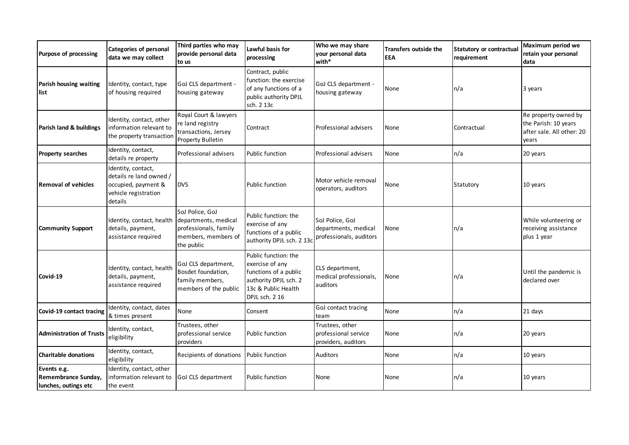| Purpose of processing                                      | <b>Categories of personal</b><br>data we may collect                                                    | Third parties who may<br>provide personal data<br>to us                                               | Lawful basis for<br>processing                                                                                                     | Who we may share<br>your personal data<br>with*                    | Transfers outside the<br><b>EEA</b> | <b>Statutory or contractual</b><br>requirement | Maximum period we<br>retain your personal<br>data                                  |
|------------------------------------------------------------|---------------------------------------------------------------------------------------------------------|-------------------------------------------------------------------------------------------------------|------------------------------------------------------------------------------------------------------------------------------------|--------------------------------------------------------------------|-------------------------------------|------------------------------------------------|------------------------------------------------------------------------------------|
| Parish housing waiting<br>list                             | Identity, contact, type<br>of housing required                                                          | GoJ CLS department -<br>housing gateway                                                               | Contract, public<br>function: the exercise<br>of any functions of a<br>public authority DPJL<br>sch. 2 13c                         | GoJ CLS department -<br>housing gateway                            | None                                | n/a                                            | 3 years                                                                            |
| Parish land & buildings                                    | Identity, contact, other<br>information relevant to<br>the property transaction                         | Royal Court & lawyers<br>re land registry<br>transactions, Jersey<br>Property Bulletin                | Contract                                                                                                                           | Professional advisers                                              | None                                | Contractual                                    | Re property owned by<br>the Parish: 10 years<br>after sale. All other: 20<br>vears |
| <b>Property searches</b>                                   | Identity, contact,<br>details re property                                                               | Professional advisers                                                                                 | Public function                                                                                                                    | Professional advisers                                              | None                                | n/a                                            | 20 years                                                                           |
| <b>Removal of vehicles</b>                                 | Identity, contact,<br>details re land owned /<br>occupied, payment &<br>vehicle registration<br>details | <b>DVS</b>                                                                                            | Public function                                                                                                                    | Motor vehicle removal<br>operators, auditors                       | None                                | Statutory                                      | 10 years                                                                           |
| <b>Community Support</b>                                   | Identity, contact, health<br>details, payment,<br>assistance required                                   | SoJ Police, GoJ<br>departments, medical<br>professionals, family<br>members, members of<br>the public | Public function: the<br>exercise of any<br>functions of a public<br>authority DPJL sch. 2 13c                                      | SoJ Police, GoJ<br>departments, medical<br>professionals, auditors | None                                | n/a                                            | While volunteering or<br>receiving assistance<br>plus 1 year                       |
| Covid-19                                                   | Identity, contact, health<br>details, payment,<br>assistance required                                   | GoJ CLS department,<br>Bosdet foundation,<br>family members,<br>members of the public                 | Public function: the<br>exercise of any<br>functions of a public<br>authority DPJL sch. 2<br>13c & Public Health<br>DPJL sch. 2 16 | CLS department,<br>medical professionals,<br>auditors              | None                                | n/a                                            | Until the pandemic is<br>declared over                                             |
| Covid-19 contact tracing                                   | Identity, contact, dates<br>& times present                                                             | None                                                                                                  | Consent                                                                                                                            | GoJ contact tracing<br>team                                        | None                                | n/a                                            | 21 days                                                                            |
| <b>Administration of Trusts</b>                            | Identity, contact,<br>eligibility                                                                       | Trustees, other<br>professional service<br>providers                                                  | Public function                                                                                                                    | Trustees, other<br>professional service<br>providers, auditors     | None                                | n/a                                            | 20 years                                                                           |
| <b>Charitable donations</b>                                | Identity, contact,<br>eligibility                                                                       | Recipients of donations                                                                               | Public function                                                                                                                    | Auditors                                                           | None                                | n/a                                            | 10 years                                                                           |
| Events e.g.<br>Remembrance Sunday,<br>lunches, outings etc | Identity, contact, other<br>information relevant to<br>the event                                        | GoJ CLS department                                                                                    | Public function                                                                                                                    | None                                                               | None                                | n/a                                            | 10 years                                                                           |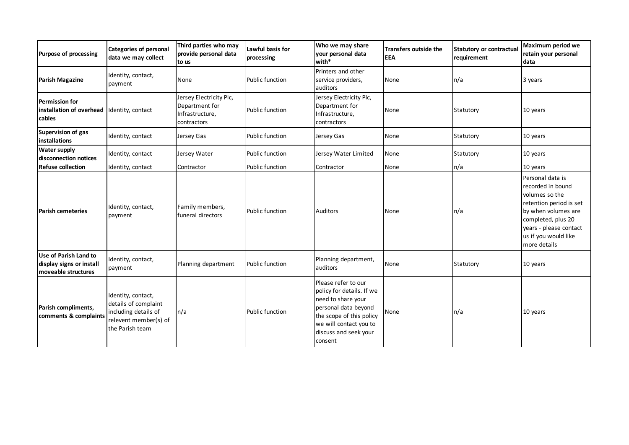| <b>Purpose of processing</b>                                             | <b>Categories of personal</b><br>data we may collect                                                           | Third parties who may<br>provide personal data<br>to us                     | Lawful basis for<br>processing | Who we may share<br>your personal data<br>with*                                                                                                                                          | <b>Transfers outside the</b><br><b>EEA</b> | <b>Statutory or contractual</b><br>requirement | Maximum period we<br>retain your personal<br>data                                                                                                                                                 |
|--------------------------------------------------------------------------|----------------------------------------------------------------------------------------------------------------|-----------------------------------------------------------------------------|--------------------------------|------------------------------------------------------------------------------------------------------------------------------------------------------------------------------------------|--------------------------------------------|------------------------------------------------|---------------------------------------------------------------------------------------------------------------------------------------------------------------------------------------------------|
| Parish Magazine                                                          | Identity, contact,<br>payment                                                                                  | None                                                                        | <b>Public function</b>         | Printers and other<br>service providers,<br>auditors                                                                                                                                     | None                                       | n/a                                            | 3 years                                                                                                                                                                                           |
| <b>Permission for</b><br>installation of overhead<br>cables              | Identity, contact                                                                                              | Jersey Electricity Plc,<br>Department for<br>Infrastructure,<br>contractors | <b>Public function</b>         | Jersey Electricity Plc,<br>Department for<br>Infrastructure,<br>contractors                                                                                                              | None                                       | Statutory                                      | 10 years                                                                                                                                                                                          |
| Supervision of gas<br>installations                                      | Identity, contact                                                                                              | Jersey Gas                                                                  | <b>Public function</b>         | Jersey Gas                                                                                                                                                                               | None                                       | Statutory                                      | 10 years                                                                                                                                                                                          |
| <b>Water supply</b><br>disconnection notices                             | Identity, contact                                                                                              | Jersey Water                                                                | Public function                | Jersey Water Limited                                                                                                                                                                     | None                                       | Statutory                                      | 10 years                                                                                                                                                                                          |
| <b>Refuse collection</b>                                                 | Identity, contact                                                                                              | Contractor                                                                  | <b>Public function</b>         | Contractor                                                                                                                                                                               | None                                       | n/a                                            | 10 years                                                                                                                                                                                          |
| <b>Parish cemeteries</b>                                                 | Identity, contact,<br>payment                                                                                  | Family members,<br>funeral directors                                        | Public function                | <b>Auditors</b>                                                                                                                                                                          | None                                       | n/a                                            | Personal data is<br>recorded in bound<br>volumes so the<br>retention period is set<br>by when volumes are<br>completed, plus 20<br>years - please contact<br>us if you would like<br>more details |
| Use of Parish Land to<br>display signs or install<br>moveable structures | Identity, contact,<br>payment                                                                                  | Planning department                                                         | <b>Public function</b>         | Planning department,<br>auditors                                                                                                                                                         | None                                       | Statutory                                      | 10 years                                                                                                                                                                                          |
| Parish compliments,<br>comments & complaints                             | Identity, contact,<br>details of complaint<br>including details of<br>relevent member(s) of<br>the Parish team | n/a                                                                         | Public function                | Please refer to our<br>policy for details. If we<br>need to share your<br>personal data beyond<br>the scope of this policy<br>we will contact you to<br>discuss and seek your<br>consent | None                                       | n/a                                            | 10 years                                                                                                                                                                                          |